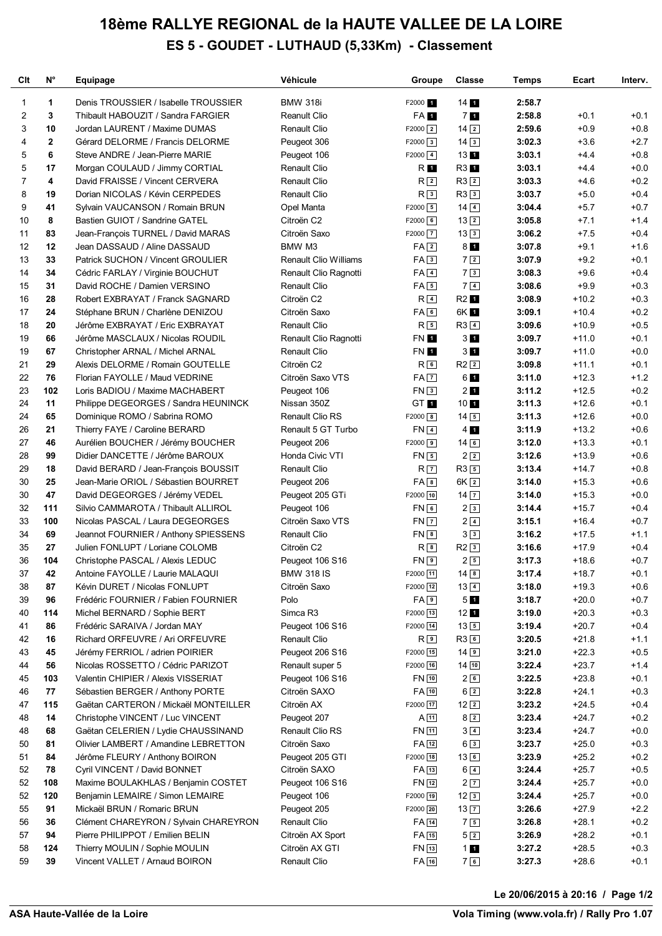## **18ème RALLYE REGIONAL de la HAUTE VALLEE DE LA LOIRE ES 5 - GOUDET - LUTHAUD (5,33Km) - Classement**

| Clt            | N°             | Equipage                              | Véhicule                     | Groupe               | <b>Classe</b>        | Temps  | Ecart   | Interv. |
|----------------|----------------|---------------------------------------|------------------------------|----------------------|----------------------|--------|---------|---------|
| 1              | 1              | Denis TROUSSIER / Isabelle TROUSSIER  | <b>BMW 318i</b>              | F2000 1              | 14 <sub>1</sub>      | 2:58.7 |         |         |
| $\overline{2}$ | 3              | Thibault HABOUZIT / Sandra FARGIER    | <b>Reanult Clio</b>          | FA <sub>1</sub>      | 7 <sub>1</sub>       | 2:58.8 | $+0.1$  | $+0.1$  |
| 3              | 10             | Jordan LAURENT / Maxime DUMAS         | <b>Renault Clio</b>          | $F2000$ <sup>2</sup> | $14$ $2$             | 2:59.6 | $+0.9$  | $+0.8$  |
| 4              | $\overline{2}$ | Gérard DELORME / Francis DELORME      | Peugeot 306                  | $F2000$ 3            | $14\sqrt{3}$         | 3:02.3 | $+3.6$  | $+2.7$  |
| 5              | 6              | Steve ANDRE / Jean-Pierre MARIE       | Peugeot 106                  | $F2000$ $4$          | 131                  | 3:03.1 | $+4.4$  | $+0.8$  |
| 5              | 17             | Morgan COULAUD / Jimmy CORTIAL        | <b>Renault Clio</b>          | R <sub>1</sub>       | R3 1                 | 3:03.1 | $+4.4$  | $+0.0$  |
| 7              | 4              | David FRAISSE / Vincent CERVERA       | <b>Renault Clio</b>          | R <sub>2</sub>       | $R3$ <sup>2</sup>    | 3:03.3 | $+4.6$  | $+0.2$  |
| 8              | 19             | Dorian NICOLAS / Kévin CERPEDES       | <b>Renault Clio</b>          | R <sup>3</sup>       | R33                  | 3:03.7 | $+5.0$  | $+0.4$  |
| 9              | 41             | Sylvain VAUCANSON / Romain BRUN       | Opel Manta                   | $F2000$ 5            | $14\sqrt{4}$         | 3:04.4 | $+5.7$  | $+0.7$  |
| 10             | 8              | Bastien GUIOT / Sandrine GATEL        | Citroën C2                   | $F2000$ 6            | $13\sqrt{2}$         | 3:05.8 | $+7.1$  | $+1.4$  |
| 11             | 83             | Jean-François TURNEL / David MARAS    | Citroën Saxo                 | $F2000$ $7$          | 133                  | 3:06.2 | $+7.5$  | $+0.4$  |
| 12             | 12             | Jean DASSAUD / Aline DASSAUD          | BMW M3                       | FA <sub>2</sub>      | $8\blacksquare$      | 3:07.8 | $+9.1$  | $+1.6$  |
| 13             | 33             | Patrick SUCHON / Vincent GROULIER     | <b>Renault Clio Williams</b> | FA3                  | 72                   | 3:07.9 | $+9.2$  | $+0.1$  |
| 14             | 34             | Cédric FARLAY / Virginie BOUCHUT      | Renault Clio Ragnotti        | $FA$ <sup>4</sup>    | 73                   | 3:08.3 | $+9.6$  | $+0.4$  |
| 15             | 31             | David ROCHE / Damien VERSINO          | <b>Renault Clio</b>          | FA5                  | $7\sqrt{4}$          | 3:08.6 | $+9.9$  | $+0.3$  |
| 16             | 28             | Robert EXBRAYAT / Franck SAGNARD      | Citroën C2                   | $R$ 4                | R2 1                 | 3:08.9 | $+10.2$ | $+0.3$  |
| 17             | 24             | Stéphane BRUN / Charlène DENIZOU      | Citroën Saxo                 | FAG                  | 6K 1                 | 3:09.1 | $+10.4$ | $+0.2$  |
| 18             | 20             | Jérôme EXBRAYAT / Eric EXBRAYAT       | <b>Renault Clio</b>          | $R_{5}$              | $R3$ <sup>4</sup>    | 3:09.6 | $+10.9$ | $+0.5$  |
| 19             | 66             | Jérôme MASCLAUX / Nicolas ROUDIL      | Renault Clio Ragnotti        | FN 1                 | 3 <sub>1</sub>       | 3:09.7 | $+11.0$ | $+0.1$  |
| 19             | 67             | Christopher ARNAL / Michel ARNAL      | <b>Renault Clio</b>          | FN 1                 | 3 <sub>1</sub>       | 3:09.7 | $+11.0$ | $+0.0$  |
| 21             | 29             | Alexis DELORME / Romain GOUTELLE      | Citroën C <sub>2</sub>       | $R_{6}$              | $R2$ $2$             | 3:09.8 | $+11.1$ | $+0.1$  |
| 22             | 76             | Florian FAYOLLE / Maud VEDRINE        | Citroën Saxo VTS             | $FA$ $7$             | 61                   | 3:11.0 | $+12.3$ | $+1.2$  |
| 23             | 102            | Loris BADIOU / Maxime MACHABERT       | Peugeot 106                  | FN3                  | 2 <sub>1</sub>       | 3:11.2 | $+12.5$ | $+0.2$  |
| 24             | 11             | Philippe DEGEORGES / Sandra HEUNINCK  | Nissan 350Z                  | GT <sub>1</sub>      | 10 <sub>1</sub>      | 3:11.3 | $+12.6$ | $+0.1$  |
| 24             | 65             | Dominique ROMO / Sabrina ROMO         | <b>Renault Clio RS</b>       | $F2000$ 8            | $14\boxed{5}$        | 3:11.3 | $+12.6$ | $+0.0$  |
| 26             | 21             | Thierry FAYE / Caroline BERARD        | Renault 5 GT Turbo           | $FN$ <sub>4</sub>    | $4\,1$               | 3:11.9 | $+13.2$ | $+0.6$  |
| 27             | 46             | Aurélien BOUCHER / Jérémy BOUCHER     | Peugeot 206                  | $F2000$ 9            | $14\sqrt{6}$         | 3:12.0 | $+13.3$ | $+0.1$  |
| 28             | 99             | Didier DANCETTE / Jérôme BAROUX       | Honda Civic VTI              | $FN$ 5               | 22                   | 3:12.6 | $+13.9$ | $+0.6$  |
| 29             | 18             | David BERARD / Jean-François BOUSSIT  | <b>Renault Clio</b>          | R <sub>7</sub>       | R35                  | 3:13.4 | $+14.7$ | $+0.8$  |
| 30             | 25             | Jean-Marie ORIOL / Sébastien BOURRET  | Peugeot 206                  | $FA$ $8$             | $6K$ $2$             | 3:14.0 | $+15.3$ | $+0.6$  |
| 30             | 47             | David DEGEORGES / Jérémy VEDEL        | Peugeot 205 GTi              | $F2000$ 10           | $14$ $\boxed{7}$     | 3:14.0 | $+15.3$ | $+0.0$  |
| 32             | 111            | Silvio CAMMAROTA / Thibault ALLIROL   | Peugeot 106                  | FN6                  | 23                   | 3:14.4 | $+15.7$ | $+0.4$  |
| 33             | 100            | Nicolas PASCAL / Laura DEGEORGES      | Citroën Saxo VTS             | $FN$ $7$             | $2\sqrt{4}$          | 3:15.1 | $+16.4$ | $+0.7$  |
| 34             | 69             | Jeannot FOURNIER / Anthony SPIESSENS  | Renault Clio                 | $FN$ 8               | 33                   | 3:16.2 | $+17.5$ | $+1.1$  |
| 35             | 27             | Julien FONLUPT / Loriane COLOMB       | Citroën C2                   | $R^{8}$              | $R2$ <sup>3</sup>    | 3:16.6 | $+17.9$ | $+0.4$  |
| 36             | 104            | Christophe PASCAL / Alexis LEDUC      | Peugeot 106 S16              | FN <sub>9</sub>      | 25                   | 3:17.3 | $+18.6$ | $+0.7$  |
| 37             | 42             | Antoine FAYOLLE / Laurie MALAQUI      | <b>BMW 318 IS</b>            | F2000 11             | $14 \overline{\ }$ 8 | 3:17.4 | $+18.7$ | $+0.1$  |
| 38             | 87             | Kévin DURET / Nicolas FONLUPT         | Citroën Saxo                 | $F2000$ 12           | $13\overline{4}$     | 3:18.0 | $+19.3$ | $+0.6$  |
| 39             | 96             | Frédéric FOURNIER / Fabien FOURNIER   | Polo                         | FA9                  | 51                   | 3:18.7 | $+20.0$ | $+0.7$  |
| 40             | 114            | Michel BERNARD / Sophie BERT          | Simca R <sub>3</sub>         | F2000 13             | 12 <sub>1</sub>      | 3:19.0 | $+20.3$ | $+0.3$  |
| 41             | 86             | Frédéric SARAIVA / Jordan MAY         | Peugeot 106 S16              | F2000 14             | $13\boxed{5}$        | 3:19.4 | $+20.7$ | $+0.4$  |
| 42             | 16             | Richard ORFEUVRE / Ari ORFEUVRE       | <b>Renault Clio</b>          | $R \vert 9 \vert$    | R36                  | 3:20.5 | $+21.8$ | $+1.1$  |
| 43             | 45             | Jérémy FERRIOL / adrien POIRIER       | Peugeot 206 S16              | F2000 15             | $14$ 9               | 3:21.0 | $+22.3$ | $+0.5$  |
| 44             | 56             | Nicolas ROSSETTO / Cédric PARIZOT     | Renault super 5              | F2000 16             | $14$ $10$            | 3:22.4 | $+23.7$ | $+1.4$  |
| 45             | 103            | Valentin CHIPIER / Alexis VISSERIAT   | Peugeot 106 S16              | $FN$ $10$            | 26                   | 3:22.5 | $+23.8$ | $+0.1$  |
| 46             | 77             | Sébastien BERGER / Anthony PORTE      | Citroën SAXO                 | $FA$ $10$            | $6\sqrt{2}$          | 3:22.8 | $+24.1$ | $+0.3$  |
| 47             | 115            | Gaëtan CARTERON / Mickaël MONTEILLER  | Citroën AX                   | F2000 17             | $12$ $2$             | 3:23.2 | $+24.5$ | $+0.4$  |
| 48             | 14             | Christophe VINCENT / Luc VINCENT      | Peugeot 207                  | $A$ $11$             | $8\sqrt{2}$          | 3:23.4 | $+24.7$ | $+0.2$  |
| 48             | 68             | Gaëtan CELERIEN / Lydie CHAUSSINAND   | Renault Clio RS              | FN 11                | $3\sqrt{4}$          | 3:23.4 | $+24.7$ | $+0.0$  |
| 50             | 81             | Olivier LAMBERT / Amandine LEBRETTON  | Citroën Saxo                 | FA 12                | 63                   | 3:23.7 | $+25.0$ | $+0.3$  |
| 51             | 84             | Jérôme FLEURY / Anthony BOIRON        | Peugeot 205 GTI              | $F2000$ 18           | $13$ 6               | 3:23.9 | $+25.2$ | $+0.2$  |
| 52             | 78             | Cyril VINCENT / David BONNET          | Citroën SAXO                 | $FA$ $13$            | $6\boxed{4}$         | 3:24.4 | $+25.7$ | $+0.5$  |
| 52             | 108            | Maxime BOULAKHLAS / Benjamin COSTET   | Peugeot 106 S16              | $FN$ <sup>12</sup>   | 2 7                  | 3:24.4 | $+25.7$ | $+0.0$  |
| 52             | 120            | Benjamin LEMAIRE / Simon LEMAIRE      | Peugeot 106                  | F2000 19             | $12\sqrt{3}$         | 3:24.4 | $+25.7$ | $+0.0$  |
| 55             | 91             | Mickaël BRUN / Romaric BRUN           | Peugeot 205                  | $F2000$ 20           | $13\overline{7}$     | 3:26.6 | $+27.9$ | $+2.2$  |
| 56             | 36             | Clément CHAREYRON / Sylvain CHAREYRON | Renault Clio                 | FA 14                | 75                   | 3:26.8 | $+28.1$ | $+0.2$  |
| 57             | 94             | Pierre PHILIPPOT / Emilien BELIN      | Citroën AX Sport             | FA 15                | 52                   | 3:26.9 | $+28.2$ | $+0.1$  |
| 58             | 124            | Thierry MOULIN / Sophie MOULIN        | Citroën AX GTI               | $FN$ $13$            | 11                   | 3:27.2 | $+28.5$ | $+0.3$  |
| 59             | 39             | Vincent VALLET / Arnaud BOIRON        | Renault Clio                 | FA 16                | 76                   | 3:27.3 | $+28.6$ | $+0.1$  |

**Le 20/06/2015 à 20:16 / Page 1/2**